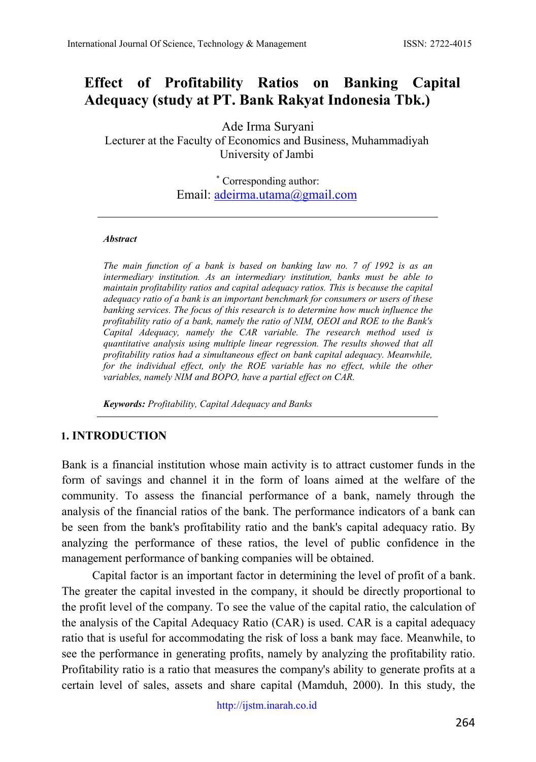# **Effect of Profitability Ratios on Banking Capital Adequacy (study at PT. Bank Rakyat Indonesia Tbk.)**

Ade Irma Suryani

Lecturer at the Faculty of Economics and Business, Muhammadiyah University of Jambi

> \* Corresponding author: Email: [adeirma.utama@gmail.com](mailto:adeirma.utama@gmail.com)

#### *Abstract*

*The main function of a bank is based on banking law no. 7 of 1992 is as an intermediary institution. As an intermediary institution, banks must be able to maintain profitability ratios and capital adequacy ratios. This is because the capital adequacy ratio of a bank is an important benchmark for consumers or users of these banking services. The focus of this research is to determine how much influence the profitability ratio of a bank, namely the ratio of NIM, OEOI and ROE to the Bank's Capital Adequacy, namely the CAR variable. The research method used is quantitative analysis using multiple linear regression. The results showed that all profitability ratios had a simultaneous effect on bank capital adequacy. Meanwhile, for the individual effect, only the ROE variable has no effect, while the other variables, namely NIM and BOPO, have a partial effect on CAR.* 

*Keywords: Profitability, Capital Adequacy and Banks*

#### **1. INTRODUCTION**

Bank is a financial institution whose main activity is to attract customer funds in the form of savings and channel it in the form of loans aimed at the welfare of the community. To assess the financial performance of a bank, namely through the analysis of the financial ratios of the bank. The performance indicators of a bank can be seen from the bank's profitability ratio and the bank's capital adequacy ratio. By analyzing the performance of these ratios, the level of public confidence in the management performance of banking companies will be obtained.

Capital factor is an important factor in determining the level of profit of a bank. The greater the capital invested in the company, it should be directly proportional to the profit level of the company. To see the value of the capital ratio, the calculation of the analysis of the Capital Adequacy Ratio (CAR) is used. CAR is a capital adequacy ratio that is useful for accommodating the risk of loss a bank may face. Meanwhile, to see the performance in generating profits, namely by analyzing the profitability ratio. Profitability ratio is a ratio that measures the company's ability to generate profits at a certain level of sales, assets and share capital (Mamduh, 2000). In this study, the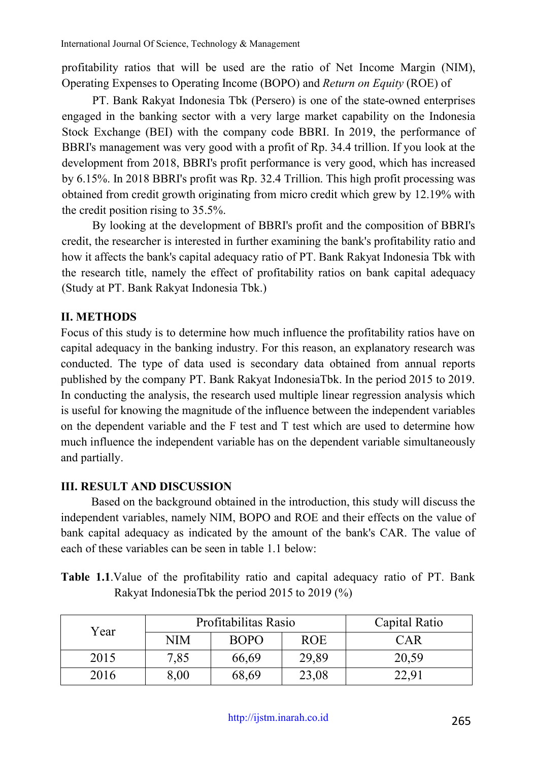profitability ratios that will be used are the ratio of Net Income Margin (NIM), Operating Expenses to Operating Income (BOPO) and *Return on Equity* (ROE) of

PT. Bank Rakyat Indonesia Tbk (Persero) is one of the state-owned enterprises engaged in the banking sector with a very large market capability on the Indonesia Stock Exchange (BEI) with the company code BBRI. In 2019, the performance of BBRI's management was very good with a profit of Rp. 34.4 trillion. If you look at the development from 2018, BBRI's profit performance is very good, which has increased by 6.15%. In 2018 BBRI's profit was Rp. 32.4 Trillion. This high profit processing was obtained from credit growth originating from micro credit which grew by 12.19% with the credit position rising to 35.5%.

By looking at the development of BBRI's profit and the composition of BBRI's credit, the researcher is interested in further examining the bank's profitability ratio and how it affects the bank's capital adequacy ratio of PT. Bank Rakyat Indonesia Tbk with the research title, namely the effect of profitability ratios on bank capital adequacy (Study at PT. Bank Rakyat Indonesia Tbk.)

# **II. METHODS**

Focus of this study is to determine how much influence the profitability ratios have on capital adequacy in the banking industry. For this reason, an explanatory research was conducted. The type of data used is secondary data obtained from annual reports published by the company PT. Bank Rakyat IndonesiaTbk. In the period 2015 to 2019. In conducting the analysis, the research used multiple linear regression analysis which is useful for knowing the magnitude of the influence between the independent variables on the dependent variable and the F test and T test which are used to determine how much influence the independent variable has on the dependent variable simultaneously and partially.

# **III. RESULT AND DISCUSSION**

Based on the background obtained in the introduction, this study will discuss the independent variables, namely NIM, BOPO and ROE and their effects on the value of bank capital adequacy as indicated by the amount of the bank's CAR. The value of each of these variables can be seen in table 1.1 below:

**Table 1.1**.Value of the profitability ratio and capital adequacy ratio of PT. Bank Rakyat IndonesiaTbk the period 2015 to 2019 (%)

| Year | Profitabilitas Rasio |             |            | Capital Ratio |  |
|------|----------------------|-------------|------------|---------------|--|
|      | NIM                  | <b>BOPO</b> | <b>ROE</b> | CAR           |  |
| 2015 | 7,85                 | 66,69       | 29,89      | 20,59         |  |
| 2016 | $8{,}00$             | 68,69       | 23,08      | 22.9          |  |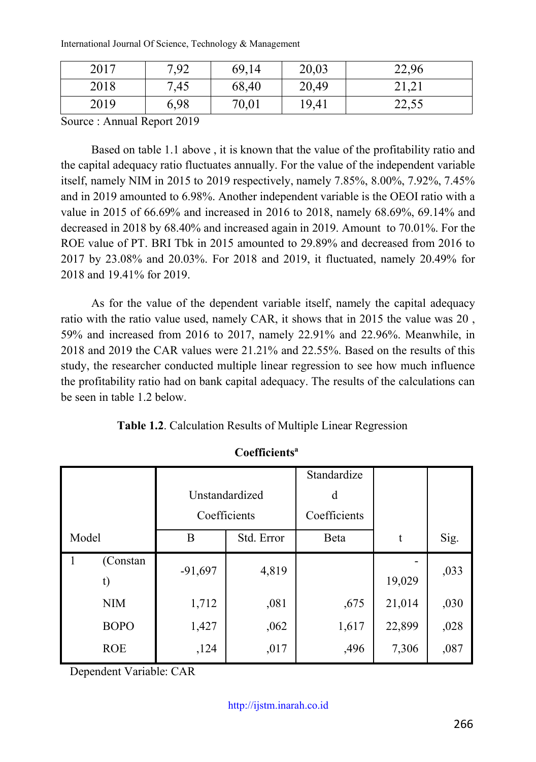International Journal Of Science, Technology & Management

| 2017 | 7,92 | 69,14 | 20,03 | 22,96 |
|------|------|-------|-------|-------|
| 2018 | 7,45 | 68,40 | 20,49 | 21,21 |
| 2019 | 6,98 | 70,01 | 19,41 | 22,55 |

Source : Annual Report 2019

Based on table 1.1 above , it is known that the value of the profitability ratio and the capital adequacy ratio fluctuates annually. For the value of the independent variable itself, namely NIM in 2015 to 2019 respectively, namely 7.85%, 8.00%, 7.92%, 7.45% and in 2019 amounted to 6.98%. Another independent variable is the OEOI ratio with a value in 2015 of 66.69% and increased in 2016 to 2018, namely 68.69%, 69.14% and decreased in 2018 by 68.40% and increased again in 2019. Amount to 70.01%. For the ROE value of PT. BRI Tbk in 2015 amounted to 29.89% and decreased from 2016 to 2017 by 23.08% and 20.03%. For 2018 and 2019, it fluctuated, namely 20.49% for 2018 and 19.41% for 2019.

As for the value of the dependent variable itself, namely the capital adequacy ratio with the ratio value used, namely CAR, it shows that in 2015 the value was 20 , 59% and increased from 2016 to 2017, namely 22.91% and 22.96%. Meanwhile, in 2018 and 2019 the CAR values were 21.21% and 22.55%. Based on the results of this study, the researcher conducted multiple linear regression to see how much influence the profitability ratio had on bank capital adequacy. The results of the calculations can be seen in table 1.2 below.

**Table 1.2**. Calculation Results of Multiple Linear Regression

|                                | Unstandardized<br>Coefficients |            | Standardize<br>d<br>Coefficients |        |      |
|--------------------------------|--------------------------------|------------|----------------------------------|--------|------|
| Model                          | B                              | Std. Error | Beta                             | t      | Sig. |
| (Constan<br>$\mathbf{1}$<br>t) | $-91,697$                      | 4,819      |                                  | 19,029 | ,033 |
| <b>NIM</b>                     | 1,712                          | ,081       | ,675                             | 21,014 | ,030 |
| <b>BOPO</b>                    | 1,427                          | ,062       | 1,617                            | 22,899 | ,028 |
| <b>ROE</b>                     | ,124                           | ,017       | ,496                             | 7,306  | ,087 |

**Coefficientsa**

Dependent Variable: CAR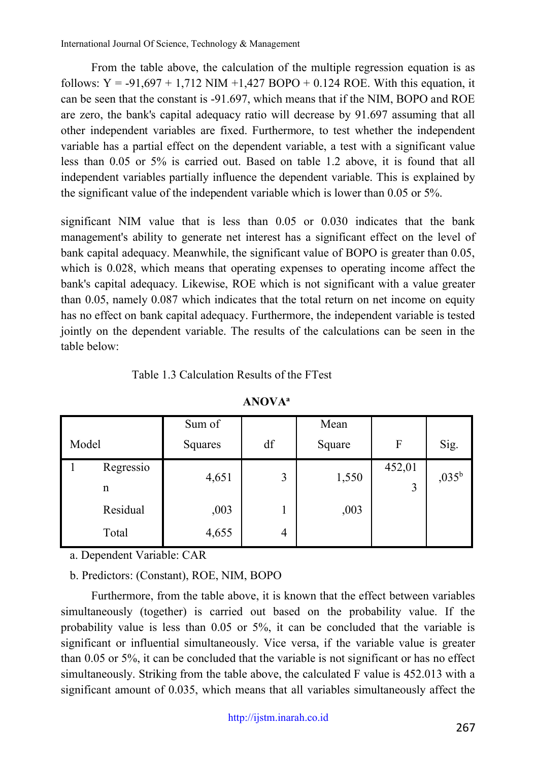From the table above, the calculation of the multiple regression equation is as follows:  $Y = -91,697 + 1,712$  NIM +1,427 BOPO + 0.124 ROE. With this equation, it can be seen that the constant is -91.697, which means that if the NIM, BOPO and ROE are zero, the bank's capital adequacy ratio will decrease by 91.697 assuming that all other independent variables are fixed. Furthermore, to test whether the independent variable has a partial effect on the dependent variable, a test with a significant value less than 0.05 or 5% is carried out. Based on table 1.2 above, it is found that all independent variables partially influence the dependent variable. This is explained by the significant value of the independent variable which is lower than 0.05 or 5%.

significant NIM value that is less than 0.05 or 0.030 indicates that the bank management's ability to generate net interest has a significant effect on the level of bank capital adequacy. Meanwhile, the significant value of BOPO is greater than 0.05, which is 0.028, which means that operating expenses to operating income affect the bank's capital adequacy. Likewise, ROE which is not significant with a value greater than 0.05, namely 0.087 which indicates that the total return on net income on equity has no effect on bank capital adequacy. Furthermore, the independent variable is tested jointly on the dependent variable. The results of the calculations can be seen in the table below:

### Table 1.3 Calculation Results of the FTest

|       |                | Sum of  |                | Mean   |             |                |
|-------|----------------|---------|----------------|--------|-------------|----------------|
| Model |                | Squares | df             | Square | F           | Sig.           |
|       | Regressio<br>n | 4,651   | 3              | 1,550  | 452,01<br>3 | $,035^{\rm b}$ |
|       | Residual       | ,003    |                | ,003   |             |                |
|       | Total          | 4,655   | $\overline{4}$ |        |             |                |

#### **ANOVAa**

a. Dependent Variable: CAR

b. Predictors: (Constant), ROE, NIM, BOPO

Furthermore, from the table above, it is known that the effect between variables simultaneously (together) is carried out based on the probability value. If the probability value is less than 0.05 or 5%, it can be concluded that the variable is significant or influential simultaneously. Vice versa, if the variable value is greater than 0.05 or 5%, it can be concluded that the variable is not significant or has no effect simultaneously. Striking from the table above, the calculated F value is 452.013 with a significant amount of 0.035, which means that all variables simultaneously affect the